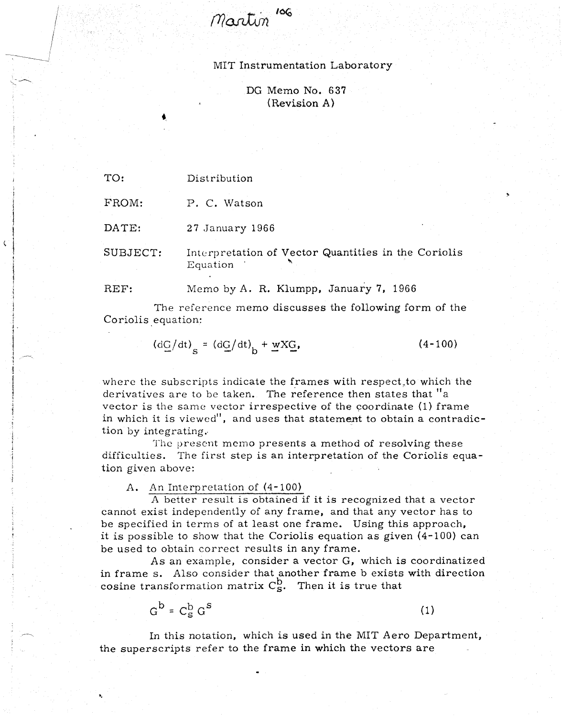Martin<sup>106</sup>

## MIT Instrumentation Laboratory

DG Memo No. 637 (Revision A)

TO: Distribution

 $\mathbf{C}$ 

FROM: P. C. Watson

DATE: 27 January 1966

SUBJECT: Interpretation of Vector Quantities in the Coriolis Equation '

REF: Memo by A. R. Klumpp, January 7, 1966

The reference memo discusses the following form of the Coriolis equation:

$$
(\mathrm{d}\mathrm{G}/\mathrm{dt})_{\mathrm{s}} = (\mathrm{d}\mathrm{G}/\mathrm{dt})_{\mathrm{b}} + \underline{\mathrm{w}}\mathrm{X}\underline{\mathrm{G}},\tag{4-100}
$$

where the subscripts indicate the frames with respect to which the derivatives are to be taken. The reference then states that "a vector is the same vector irrespective of the coordinate (1) frame in which it is viewed", and uses that statement to obtain a contradiction by integrating..

The present memo presents a method of resolving these difficulties. The first step is an interpretation of the Coriolis equation given above:

A. An Interpretation of (4-100)

A better result is obtained if it is recognized that a vector cannot exist independently of any frame, and that any vector has to be specified in terms of at least one frame. Using this approach, it is possible to show that the Coriolis equation as given (4-100) can be used to obtain correct results in any frame.

As an example, consider a vector G, which is coordinatized in frame s. Also consider that another frame b exists with direction cosine transformation matrix  $C_S^b$ . Then it is true that

$$
G^b = C_S^b G^s \tag{1}
$$

In this notation, which is used in the MIT Aero Department, the superscripts refer to the frame in which the vectors are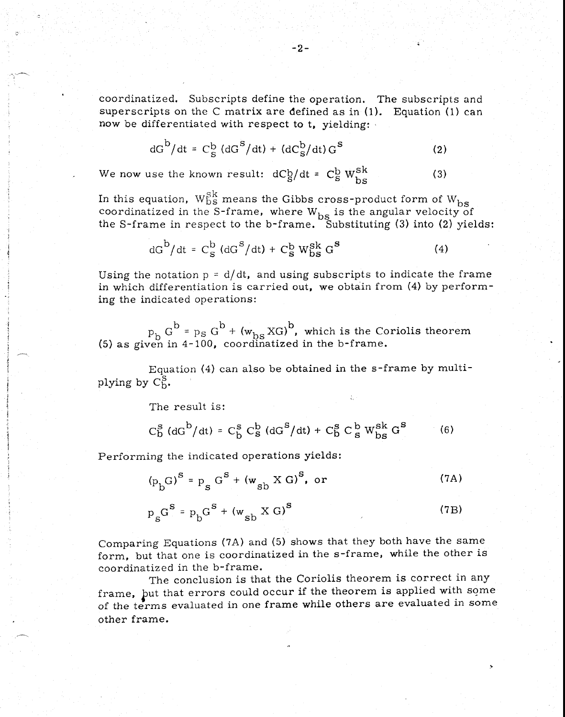coordinatized. Subscripts define the operation. The subscripts and superscripts on the C matrix are defined as in  $(1)$ . Equation  $(1)$  can now be differentiated with respect to t, yielding:

$$
dG^{\rm b}/dt = C_{\rm S}^{\rm b} (dG^{\rm S}/dt) + (dC_{\rm S}^{\rm b}/dt) G^{\rm S}
$$
 (2)

We now use the known result:  $dCg/dt = Cg$  $b \, w^{sk}$  $bs$  (3)

In this equation,  $\rm W^{Sk}_{bs}$  means the Gibbs cross-product form of  $\rm W_{bs}$ coordinatized in the S-frame, where  $W_{bs}$  is the angular velocity of

the S-frame in respect to the b-frame. Substituting (3) into (2) yields:  
\n
$$
dG^b/dt = C_S^b (dG^S/dt) + C_S^b W_{bs}^{Sk} G^S
$$
\n(4)

Using the notation  $p = d/dt$ , and using subscripts to indicate the frame in which differentiation is carried out, we obtain from (4) by performing the indicated operations:

 $p_b G^b = p_s G^b + (w_{bs} X G)^b$ , which is the Coriolis theorem (5) as given in 4-100, coordinatized in the b-frame.

Equation (4) can also be obtained in the s-frame by multiplying by  $C_{b}^{S}$ .

The result is:

$$
C_{\rm b}^{\rm s} \left( \mathrm{d}G^{\rm b} / \mathrm{d}t \right) = C_{\rm b}^{\rm s} \, C_{\rm s}^{\rm b} \left( \mathrm{d}G^{\rm s} / \mathrm{d}t \right) + C_{\rm b}^{\rm s} \, C_{\rm s}^{\rm b} \, W_{\rm bs}^{\rm sk} \, G^{\rm s} \tag{6}
$$

Performing the indicated operations yields:  
\n
$$
(p_b G)^S = p_g G^S + (w_{sb} X G)^S, or
$$
\n(7A)

$$
p_{s}G^{S} = p_{b}G^{S} + (w_{sb} \times G)^{S}
$$
 (7B)

Comparing Equations (7A) and (5) shows that they both have the same form, but that one is coordinatized in the s-frame, while the other is coordinatized in the b-frame.

The conclusion is that the Coriolis theorem is correct in any frame, but that errors could occur if the theorem is applied with some of the terms evaluated in one frame while others are evaluated in some other frame.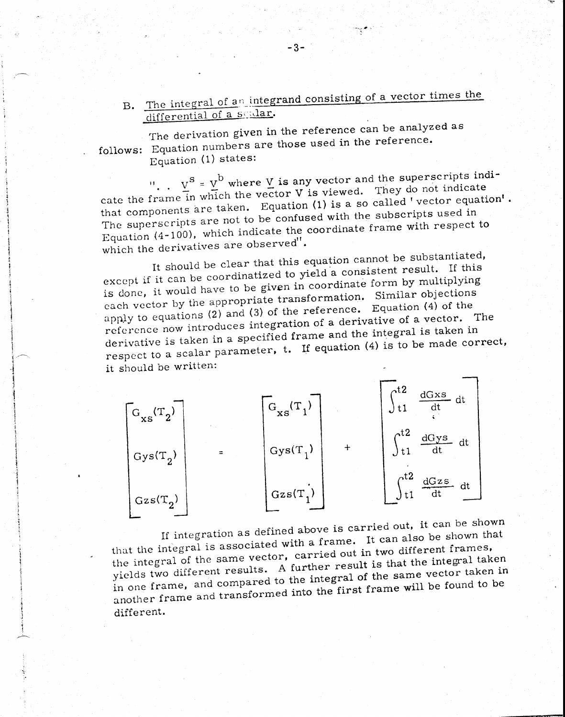B. The integral of an integrand consisting of a vector times the differential of a scalar.

The derivation given in the reference can be analyzed as follows: Equation numbers are those used in the reference. Equation (1) states:

 $v^s = v^b$  where V is any vector and the superscripts indicate the frame in which the vector V is viewed. They do not indicate that components are taken. Equation (1) is a so called 'vector equation'. The superscripts are not to be confused with the subscripts used in Equation (4-100), which indicate the coordinate frame with respect to which the derivatives are observed".

It should be clear that this equation cannot be substantiated, except if it can be coordinatized to yield a consistent result. If this is done, it would have to be given in coordinate form by multiplying each vector by the appropriate transformation. Similar objections apply to equations (2) and (3) of the reference. Equation (4) of the reference now introduces integration of a derivative of a vector. The derivative is taken in a specified frame and the integral is taken in respect to a scalar parameter, t. If equation (4) is to be made correct, it should be written:



If integration as defined above is carried out, it can be shown that the integral is associated with a frame. It can also be shown that the integral of the same vector, carried out in two different frames, yields two different results. A further result is that the integral taken in one frame, and compared to the integral of the same vector taken in another frame and transformed into the first frame will be found to be different.

 $-3-$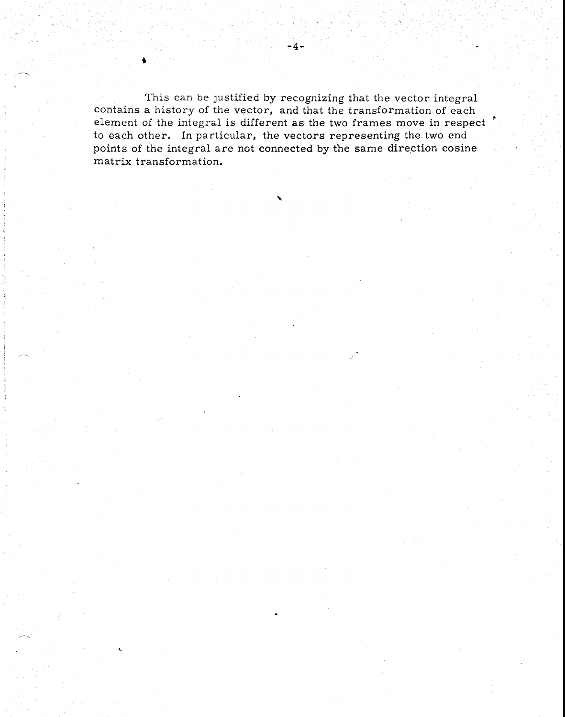This can be justified by recognizing that the vector integral contains a history of the vector, and that the transformation of each element of the integral is different as the two frames move in respect. to each other. In particular, the vectors representing the two end points of the integral are not connected by the same direction cosine matrix transformation.

 $-4-$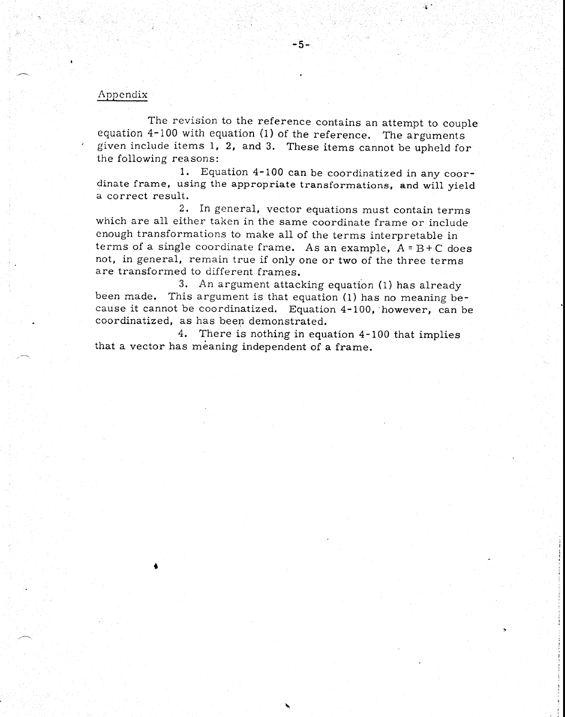## Appendix

The revision to the reference contains an attempt to couple equation 4-100 with equation (1) of the reference. The arguments given include items 1, 2, and 3. These items cannot be upheld for the following reasons:<br>1. Equ

 $-5-$ 

Equation 4-100 can be coordinatized in any coordinate frame, using the appropriate transformations, and will yield a correct result.

2. In general, vector equations must contain terms which are all either taken in the same coordinate frame or include enough transformations to make all of the terms interpretable in terms of a single coordinate frame. As an example,  $A = B + C$  does not, in general, remain true if only one or two of the three terms are transformed to different frames.

3. An argument attacking equation (1) has already been made. This argument is that equation (1) has no meaning because it cannot be coordinatized. Equation 4-100, however, can be coordinatized, as has been demonstrated.

4. There is nothing in equation 4-100 that implies that a vector has meaning independent of a frame.